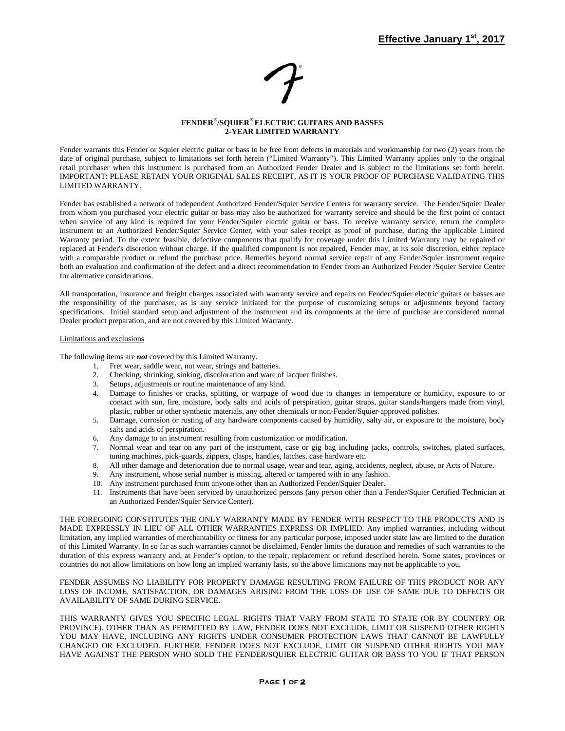# **FENDER®/SQUIER® ELECTRIC GUITARS AND BASSES 2-YEAR LIMITED WARRANTY**

Fender warrants this Fender or Squier electric guitar or bass to be free from defects in materials and workmanship for two (2) years from the date of original purchase, subject to limitations set forth herein ("Limited Warranty"). This Limited Warranty applies only to the original retail purchaser when this instrument is purchased from an Authorized Fender Dealer and is subject to the limitations set forth herein. IMPORTANT: PLEASE RETAIN YOUR ORIGINAL SALES RECEIPT, AS IT IS YOUR PROOF OF PURCHASE VALIDATING THIS LIMITED WARRANTY.

Fender has established a network of independent Authorized Fender/Squier Service Centers for warranty service. The Fender/Squier Dealer from whom you purchased your electric guitar or bass may also be authorized for warranty service and should be the first point of contact when service of any kind is required for your Fender/Squier electric guitar or bass. To receive warranty service, return the complete instrument to an Authorized Fender/Squier Service Center, with your sales receipt as proof of purchase, during the applicable Limited Warranty period. To the extent feasible, defective components that qualify for coverage under this Limited Warranty may be repaired or replaced at Fender's discretion without charge. If the qualified component is not repaired, Fender may, at its sole discretion, either replace with a comparable product or refund the purchase price. Remedies beyond normal service repair of any Fender/Squier instrument require both an evaluation and confirmation of the defect and a direct recommendation to Fender from an Authorized Fender /Squier Service Center for alternative considerations.

All transportation, insurance and freight charges associated with warranty service and repairs on Fender/Squier electric guitars or basses are the responsibility of the purchaser, as is any service initiated for the purpose of customizing setups or adjustments beyond factory specifications. Initial standard setup and adjustment of the instrument and its components at the time of purchase are considered normal Dealer product preparation, and are not covered by this Limited Warranty.

#### Limitations and exclusions

The following items are *not* covered by this Limited Warranty.

- 1. Fret wear, saddle wear, nut wear, strings and batteries.
- 2. Checking, shrinking, sinking, discoloration and ware of lacquer finishes.
- 3. Setups, adjustments or routine maintenance of any kind.
- 4. Damage to finishes or cracks, splitting, or warpage of wood due to changes in temperature or humidity, exposure to or contact with sun, fire, moisture, body salts and acids of perspiration, guitar straps, guitar stands/hangers made from vinyl, plastic, rubber or other synthetic materials, any other chemicals or non-Fender/Squier-approved polishes.
- 5. Damage, corrosion or rusting of any hardware components caused by humidity, salty air, or exposure to the moisture, body salts and acids of perspiration.
- 6. Any damage to an instrument resulting from customization or modification.
- 7. Normal wear and tear on any part of the instrument, case or gig bag including jacks, controls, switches, plated surfaces, tuning machines, pick-guards, zippers, clasps, handles, latches, case hardware etc.
- 8. All other damage and deterioration due to normal usage, wear and tear, aging, accidents, neglect, abuse, or Acts of Nature.
- 9. Any instrument, whose serial number is missing, altered or tampered with in any fashion.
- 10. Any instrument purchased from anyone other than an Authorized Fender/Squier Dealer.
- 11. Instruments that have been serviced by unauthorized persons (any person other than a Fender/Squier Certified Technician at an Authorized Fender/Squier Service Center).

THE FOREGOING CONSTITUTES THE ONLY WARRANTY MADE BY FENDER WITH RESPECT TO THE PRODUCTS AND IS MADE EXPRESSLY IN LIEU OF ALL OTHER WARRANTIES EXPRESS OR IMPLIED. Any implied warranties, including without limitation, any implied warranties of merchantability or fitness for any particular purpose, imposed under state law are limited to the duration of this Limited Warranty. In so far as such warranties cannot be disclaimed, Fender limits the duration and remedies of such warranties to the duration of this express warranty and, at Fender's option, to the repair, replacement or refund described herein. Some states, provinces or countries do not allow limitations on how long an implied warranty lasts, so the above limitations may not be applicable to you.

FENDER ASSUMES NO LIABILITY FOR PROPERTY DAMAGE RESULTING FROM FAILURE OF THIS PRODUCT NOR ANY LOSS OF INCOME, SATISFACTION, OR DAMAGES ARISING FROM THE LOSS OF USE OF SAME DUE TO DEFECTS OR AVAILABILITY OF SAME DURING SERVICE.

THIS WARRANTY GIVES YOU SPECIFIC LEGAL RIGHTS THAT VARY FROM STATE TO STATE (OR BY COUNTRY OR PROVINCE). OTHER THAN AS PERMITTED BY LAW, FENDER DOES NOT EXCLUDE, LIMIT OR SUSPEND OTHER RIGHTS YOU MAY HAVE, INCLUDING ANY RIGHTS UNDER CONSUMER PROTECTION LAWS THAT CANNOT BE LAWFULLY CHANGED OR EXCLUDED. FURTHER, FENDER DOES NOT EXCLUDE, LIMIT OR SUSPEND OTHER RIGHTS YOU MAY HAVE AGAINST THE PERSON WHO SOLD THE FENDER/SQUIER ELECTRIC GUITAR OR BASS TO YOU IF THAT PERSON